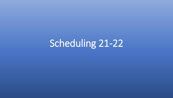# Scheduling 21-22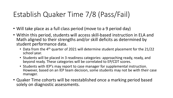## Establish Quaker Time 7/8 (Pass/Fail)

- Will take place as a full class period (move to a 9 period day)
- Within this period, students will access skill-based instruction in ELA and Math aligned to their strengths and/or skill deficits as determined by student performance data.
	- Data from the  $4<sup>th</sup>$  quarter of 2021 will determine student placement for the 21/22 school year.
	- Students will be placed in 3 readiness categories: approaching ready, ready, and beyond ready. These categories will be correlated to EP/CDT scores.
	- Students with IEP's may report to case manager for supplemental instruction. However, based on an IEP team decision, some students may not be with their case manager.
- Quaker Time cohorts will be reestablished once a marking period based solely on diagnostic assessments.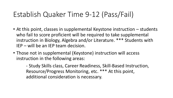#### Establish Quaker Time 9-12 (Pass/Fail)

- At this point, classes in supplemental Keystone instruction students who fail to score proficient will be required to take supplemental instruction in Biology, Algebra and/or Literature. \*\*\* Students with IEP – will be an IEP team decision.
- Those not in supplemental (Keystone) instruction will access instruction in the following areas:

- Study Skills class, Career Readiness, Skill-Based Instruction, Resource/Progress Monitoring, etc. \*\*\* At this point, additional consideration is necessary.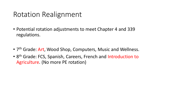#### Rotation Realignment

- Potential rotation adjustments to meet Chapter 4 and 339 regulations.
- 7<sup>th</sup> Grade: Art, Wood Shop, Computers, Music and Wellness.
- 8<sup>th</sup> Grade: FCS, Spanish, Careers, French and Introduction to Agriculture. (No more PE rotation)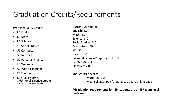### Graduation Credits/Requirements

#### Proposed: 31.5 Credits

- 4.0 English
- 4.0 Math
- 3.0 Science
- 3.0 Social Studies
- .50 Computers
- .50 Internet
- .50 Personal Finance
- 1.0 Wellness
- 2.0 World Language
- 9.0 Electives
- 4.0 Quaker Time (Additional Elective credits for transfer students)

Current: 26 Credits English: 4.0 Math: 4.0 Science: 3.0 Social Studies: 3.0 Computers: .50 PE: .50 Health: .50 Personal Finance/Stepping Out: .50 Related Arts: 3.0 Electives: 7.0

#### Thoughts/Concerns:

-More rigorous -Most colleges look for at least 2 years of language

**\*Graduation requirements for IEP students are an IEP team level decision.**